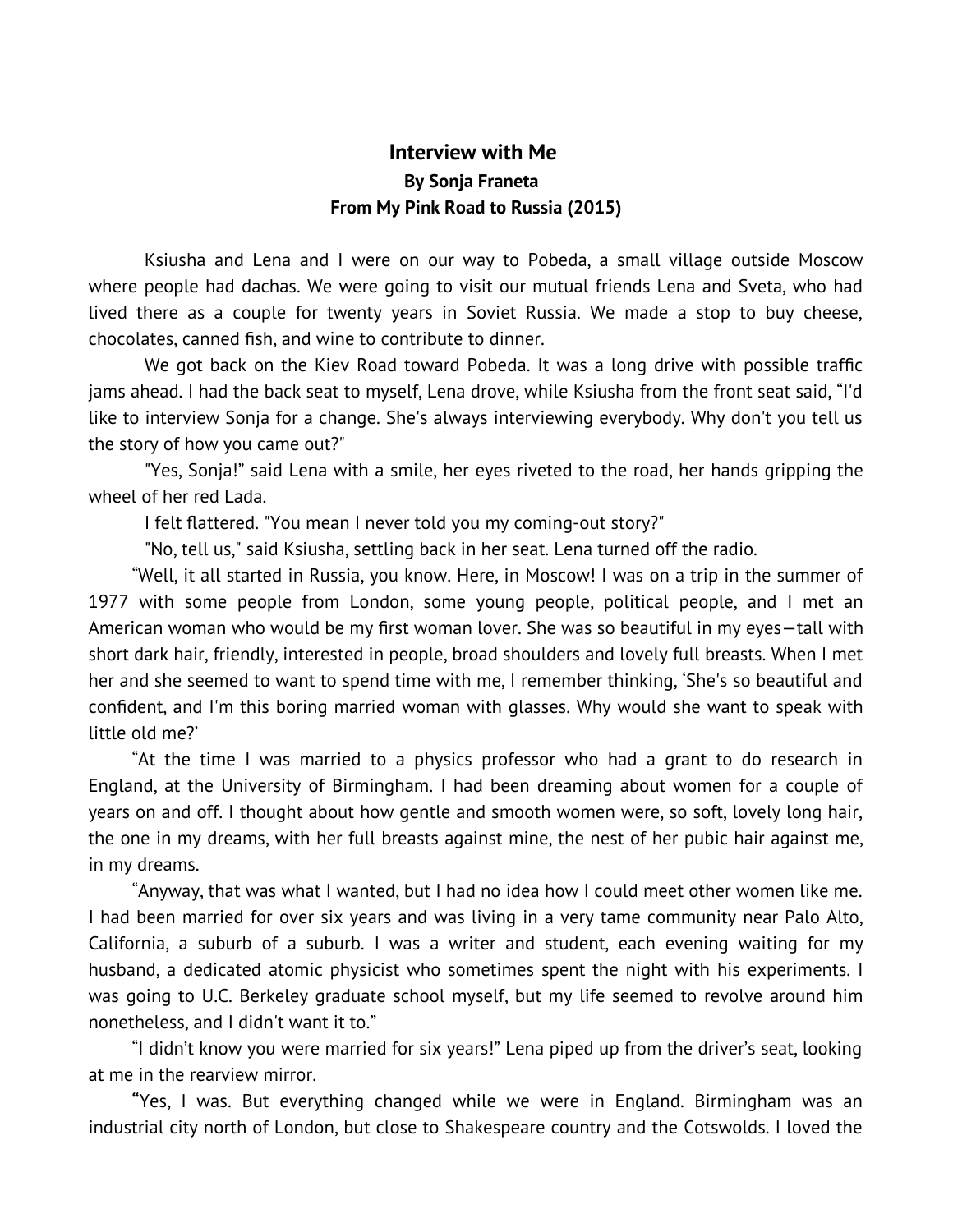## **Interview with Me By Sonja Franeta From My Pink Road to Russia (2015)**

Ksiusha and Lena and I were on our way to Pobeda, a small village outside Moscow where people had dachas. We were going to visit our mutual friends Lena and Sveta, who had lived there as a couple for twenty years in Soviet Russia. We made a stop to buy cheese, chocolates, canned fsh, and wine to contribute to dinner.

We got back on the Kiev Road toward Pobeda. It was a long drive with possible traffc jams ahead. I had the back seat to myself, Lena drove, while Ksiusha from the front seat said, "I'd like to interview Sonja for a change. She's always interviewing everybody. Why don't you tell us the story of how you came out?"

"Yes, Sonja!" said Lena with a smile, her eyes riveted to the road, her hands gripping the wheel of her red Lada.

I felt fattered. "You mean I never told you my coming-out story?"

"No, tell us," said Ksiusha, settling back in her seat. Lena turned off the radio.

"Well, it all started in Russia, you know. Here, in Moscow! I was on a trip in the summer of 1977 with some people from London, some young people, political people, and I met an American woman who would be my frst woman lover. She was so beautiful in my eyes—tall with short dark hair, friendly, interested in people, broad shoulders and lovely full breasts. When I met her and she seemed to want to spend time with me, I remember thinking, 'She's so beautiful and confdent, and I'm this boring married woman with glasses. Why would she want to speak with little old me?'

"At the time I was married to a physics professor who had a grant to do research in England, at the University of Birmingham. I had been dreaming about women for a couple of years on and off. I thought about how gentle and smooth women were, so soft, lovely long hair, the one in my dreams, with her full breasts against mine, the nest of her pubic hair against me, in my dreams.

"Anyway, that was what I wanted, but I had no idea how I could meet other women like me. I had been married for over six years and was living in a very tame community near Palo Alto, California, a suburb of a suburb. I was a writer and student, each evening waiting for my husband, a dedicated atomic physicist who sometimes spent the night with his experiments. I was going to U.C. Berkeley graduate school myself, but my life seemed to revolve around him nonetheless, and I didn't want it to."

"I didn't know you were married for six years!" Lena piped up from the driver's seat, looking at me in the rearview mirror.

**"**Yes, I was. But everything changed while we were in England. Birmingham was an industrial city north of London, but close to Shakespeare country and the Cotswolds. I loved the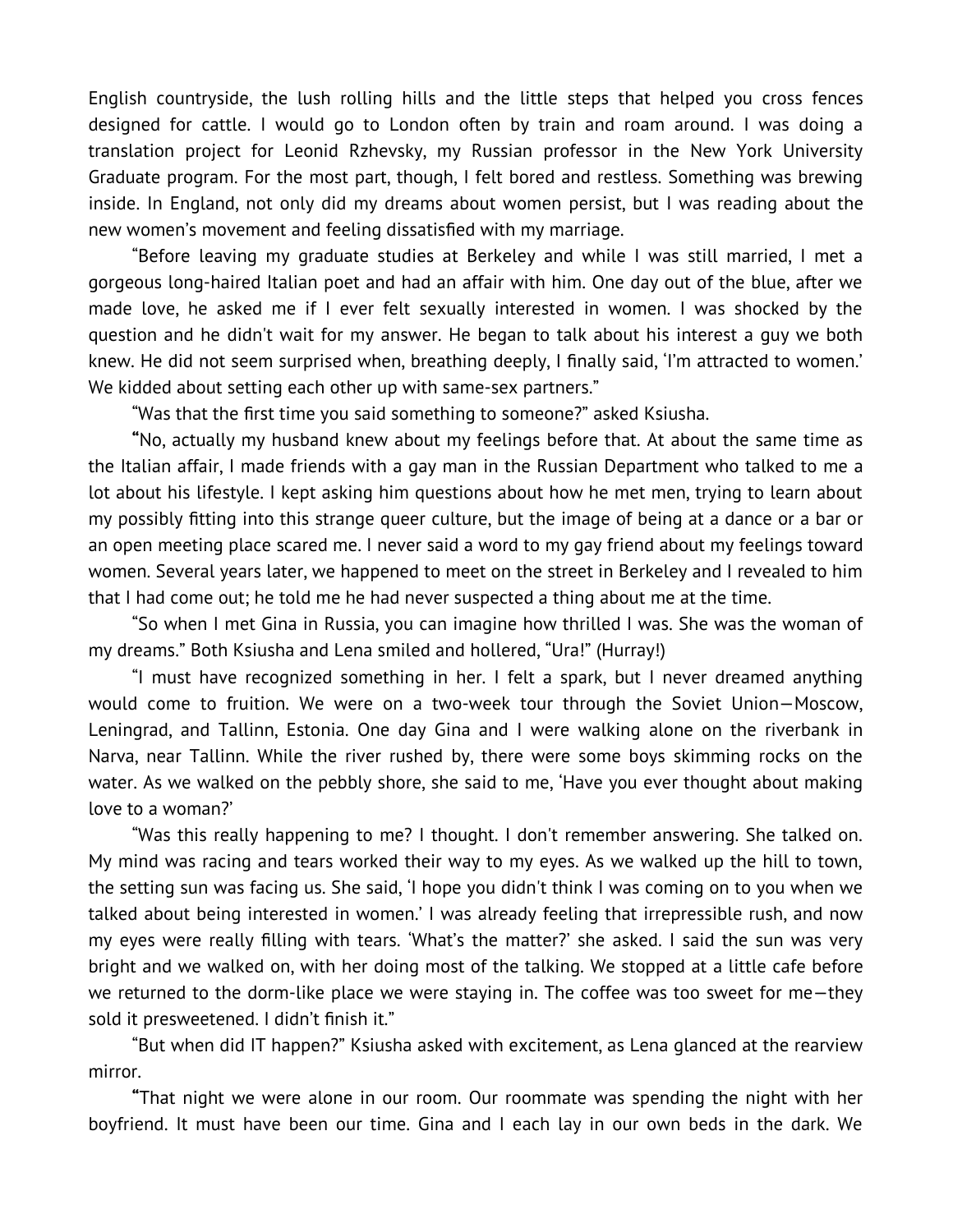English countryside, the lush rolling hills and the little steps that helped you cross fences designed for cattle. I would go to London often by train and roam around. I was doing a translation project for Leonid Rzhevsky, my Russian professor in the New York University Graduate program. For the most part, though, I felt bored and restless. Something was brewing inside. In England, not only did my dreams about women persist, but I was reading about the new women's movement and feeling dissatisfed with my marriage.

"Before leaving my graduate studies at Berkeley and while I was still married, I met a gorgeous long-haired Italian poet and had an affair with him. One day out of the blue, after we made love, he asked me if I ever felt sexually interested in women. I was shocked by the question and he didn't wait for my answer. He began to talk about his interest a guy we both knew. He did not seem surprised when, breathing deeply, I fnally said, 'I'm attracted to women.' We kidded about setting each other up with same-sex partners."

"Was that the frst time you said something to someone?" asked Ksiusha.

**"**No, actually my husband knew about my feelings before that. At about the same time as the Italian affair, I made friends with a gay man in the Russian Department who talked to me a lot about his lifestyle. I kept asking him questions about how he met men, trying to learn about my possibly ftting into this strange queer culture, but the image of being at a dance or a bar or an open meeting place scared me. I never said a word to my gay friend about my feelings toward women. Several years later, we happened to meet on the street in Berkeley and I revealed to him that I had come out; he told me he had never suspected a thing about me at the time.

"So when I met Gina in Russia, you can imagine how thrilled I was. She was the woman of my dreams." Both Ksiusha and Lena smiled and hollered, "Ura!" (Hurray!)

"I must have recognized something in her. I felt a spark, but I never dreamed anything would come to fruition. We were on a two-week tour through the Soviet Union—Moscow, Leningrad, and Tallinn, Estonia. One day Gina and I were walking alone on the riverbank in Narva, near Tallinn. While the river rushed by, there were some boys skimming rocks on the water. As we walked on the pebbly shore, she said to me, 'Have you ever thought about making love to a woman?'

"Was this really happening to me? I thought. I don't remember answering. She talked on. My mind was racing and tears worked their way to my eyes. As we walked up the hill to town, the setting sun was facing us. She said, 'I hope you didn't think I was coming on to you when we talked about being interested in women.' I was already feeling that irrepressible rush, and now my eyes were really flling with tears. 'What's the matter?' she asked. I said the sun was very bright and we walked on, with her doing most of the talking. We stopped at a little cafe before we returned to the dorm-like place we were staying in. The coffee was too sweet for me—they sold it presweetened. I didn't fnish it."

"But when did IT happen?" Ksiusha asked with excitement, as Lena glanced at the rearview mirror.

**"**That night we were alone in our room. Our roommate was spending the night with her boyfriend. It must have been our time. Gina and I each lay in our own beds in the dark. We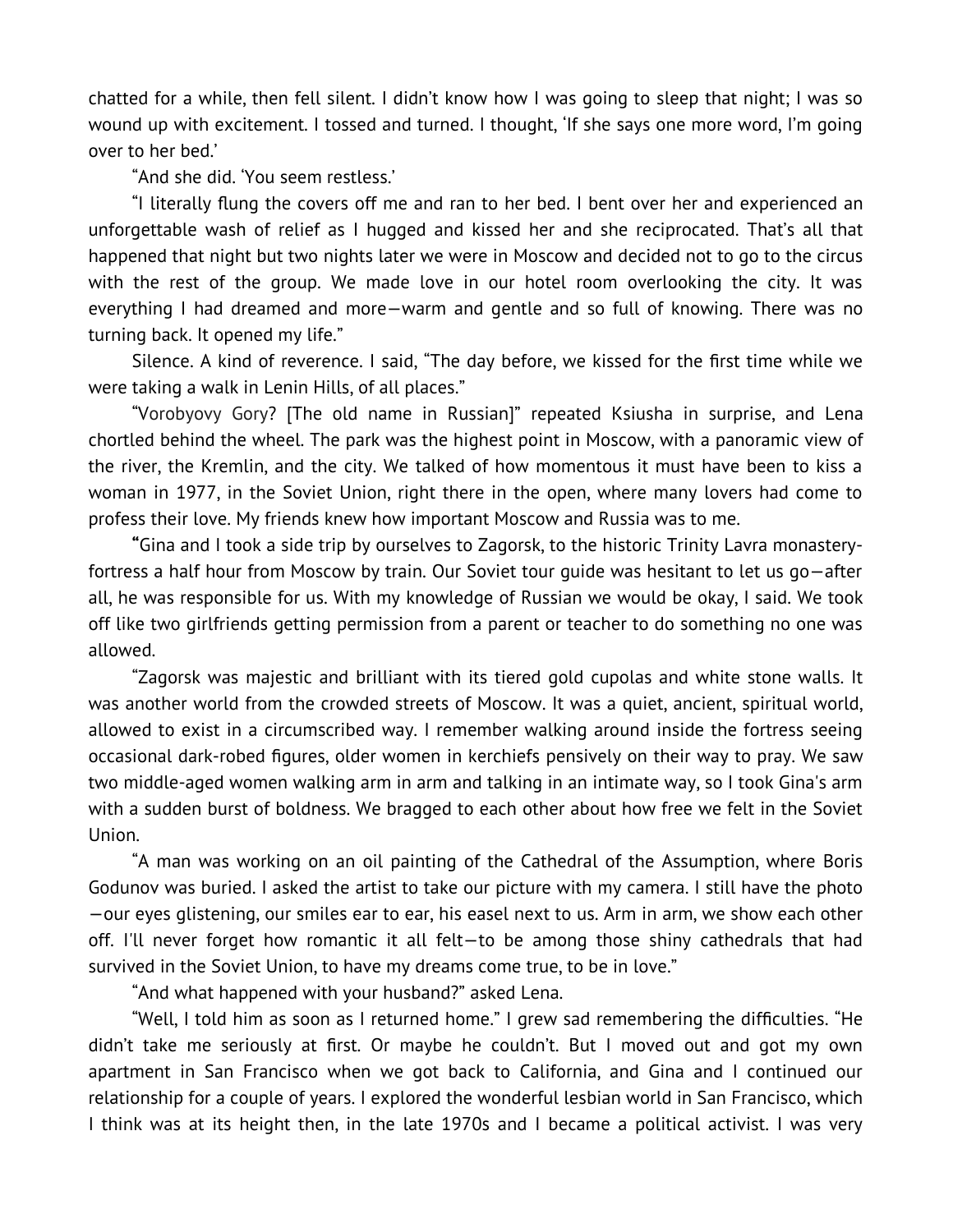chatted for a while, then fell silent. I didn't know how I was going to sleep that night; I was so wound up with excitement. I tossed and turned. I thought, 'If she says one more word, I'm going over to her bed.'

"And she did. 'You seem restless.'

"I literally fung the covers off me and ran to her bed. I bent over her and experienced an unforgettable wash of relief as I hugged and kissed her and she reciprocated. That's all that happened that night but two nights later we were in Moscow and decided not to go to the circus with the rest of the group. We made love in our hotel room overlooking the city. It was everything I had dreamed and more—warm and gentle and so full of knowing. There was no turning back. It opened my life."

Silence. A kind of reverence. I said, "The day before, we kissed for the frst time while we were taking a walk in Lenin Hills, of all places."

"Vorobyovy Gory? [The old name in Russian]" repeated Ksiusha in surprise, and Lena chortled behind the wheel. The park was the highest point in Moscow, with a panoramic view of the river, the Kremlin, and the city. We talked of how momentous it must have been to kiss a woman in 1977, in the Soviet Union, right there in the open, where many lovers had come to profess their love. My friends knew how important Moscow and Russia was to me.

**"**Gina and I took a side trip by ourselves to Zagorsk, to the historic Trinity Lavra monasteryfortress a half hour from Moscow by train. Our Soviet tour guide was hesitant to let us go—after all, he was responsible for us. With my knowledge of Russian we would be okay, I said. We took off like two girlfriends getting permission from a parent or teacher to do something no one was allowed.

"Zagorsk was majestic and brilliant with its tiered gold cupolas and white stone walls. It was another world from the crowded streets of Moscow. It was a quiet, ancient, spiritual world, allowed to exist in a circumscribed way. I remember walking around inside the fortress seeing occasional dark-robed fgures, older women in kerchiefs pensively on their way to pray. We saw two middle-aged women walking arm in arm and talking in an intimate way, so I took Gina's arm with a sudden burst of boldness. We bragged to each other about how free we felt in the Soviet Union.

"A man was working on an oil painting of the Cathedral of the Assumption, where Boris Godunov was buried. I asked the artist to take our picture with my camera. I still have the photo —our eyes glistening, our smiles ear to ear, his easel next to us. Arm in arm, we show each other off. I'll never forget how romantic it all felt—to be among those shiny cathedrals that had survived in the Soviet Union, to have my dreams come true, to be in love."

"And what happened with your husband?" asked Lena.

"Well, I told him as soon as I returned home." I grew sad remembering the diffculties. "He didn't take me seriously at frst. Or maybe he couldn't. But I moved out and got my own apartment in San Francisco when we got back to California, and Gina and I continued our relationship for a couple of years. I explored the wonderful lesbian world in San Francisco, which I think was at its height then, in the late 1970s and I became a political activist. I was very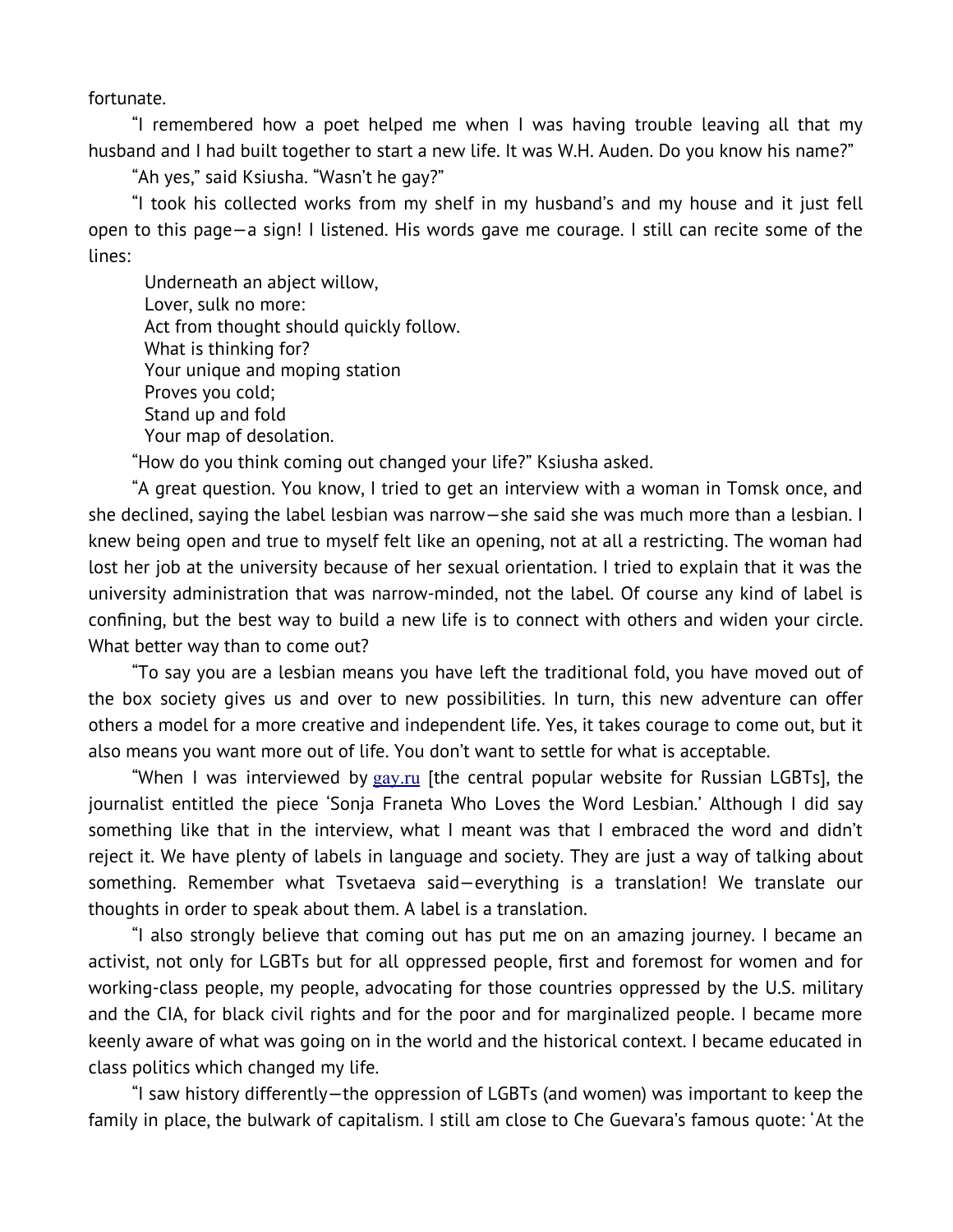fortunate.

"I remembered how a poet helped me when I was having trouble leaving all that my husband and I had built together to start a new life. It was W.H. Auden. Do you know his name?"

"Ah yes," said Ksiusha. "Wasn't he gay?"

"I took his collected works from my shelf in my husband's and my house and it just fell open to this page—a sign! I listened. His words gave me courage. I still can recite some of the lines:

Underneath an abject willow, Lover, sulk no more: Act from thought should quickly follow. What is thinking for? Your unique and moping station Proves you cold; Stand up and fold Your map of desolation.

"How do you think coming out changed your life?" Ksiusha asked.

"A great question. You know, I tried to get an interview with a woman in Tomsk once, and she declined, saying the label lesbian was narrow—she said she was much more than a lesbian. I knew being open and true to myself felt like an opening, not at all a restricting. The woman had lost her job at the university because of her sexual orientation. I tried to explain that it was the university administration that was narrow-minded, not the label. Of course any kind of label is confning, but the best way to build a new life is to connect with others and widen your circle. What better way than to come out?

"To say you are a lesbian means you have left the traditional fold, you have moved out of the box society gives us and over to new possibilities. In turn, this new adventure can offer others a model for a more creative and independent life. Yes, it takes courage to come out, but it also means you want more out of life. You don't want to settle for what is acceptable.

"When I was interviewed by [gay.ru](http://gay.ru/) [the central popular website for Russian LGBTs], the journalist entitled the piece 'Sonja Franeta Who Loves the Word Lesbian.' Although I did say something like that in the interview, what I meant was that I embraced the word and didn't reject it. We have plenty of labels in language and society. They are just a way of talking about something. Remember what Tsvetaeva said—everything is a translation! We translate our thoughts in order to speak about them. A label is a translation.

"I also strongly believe that coming out has put me on an amazing journey. I became an activist, not only for LGBTs but for all oppressed people, frst and foremost for women and for working-class people, my people, advocating for those countries oppressed by the U.S. military and the CIA, for black civil rights and for the poor and for marginalized people. I became more keenly aware of what was going on in the world and the historical context. I became educated in class politics which changed my life.

"I saw history differently—the oppression of LGBTs (and women) was important to keep the family in place, the bulwark of capitalism. I still am close to Che Guevara's famous quote: 'At the